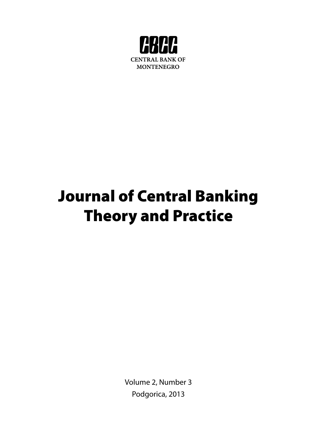

# Journal of Central Banking Theory and Practice

Volume 2, Number 3 Podgorica, 2013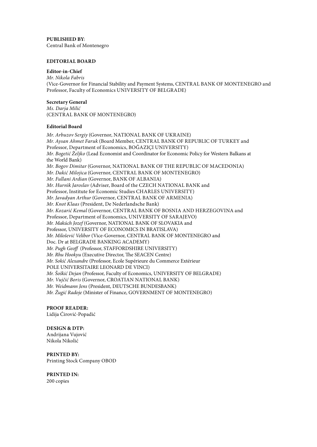**PUBLISHED BY**: Central Bank of Montenegro

#### **EDITORIAL BOARD**

#### **Editor-in-Chief**

*Mr. Nikola Fabris* (Vice-Governor for Financial Stability and Payment Systems, CENTRAL BANK OF MONTENEGRO and Professor, Faculty of Economics UNIVERSITY OF BELGRADE)

# **Secretary General**

*Ms. Darja Milić* (CENTRAL BANK OF MONTENEGRO)

## **Editorial Board**

*Mr. Arbuzov Sergiy* (Governor, NATIONAL BANK OF UKRAINE) *Mr. Aysan Ahmet Faruk* (Board Member, CENTRAL BANK OF REPUBLIC OF TURKEY and Professor, Department of Economics, BOĞAZIÇI UNIVERSITY) *Mr. Bogetić Željko* (Lead Economist and Coordinator for Economic Policy for Western Balkans at the World Bank) *Mr. Bogov Dimitar* (Governor, NATIONAL BANK OF THE REPUBLIC OF MACEDONIA) *Mr. Dakić Milojica* (Governor, CENTRAL BANK OF MONTENEGRO) *Mr. Fullani Ardian* (Governor, BANK OF ALBANIA) *Mr. Hurnìk Jaroslav* (Adviser, Board of the CZECH NATIONAL BANK and Professor, Institute for Economic Studies CHARLES UNIVERSITY) *Mr. Javadyan Arthur* (Governor, CENTRAL BANK OF ARMENIA) *Mr. Knot Klaas* (President, De Nederlandsche Bank) *Mr. Kozarić Kemal* (Governor, CENTRAL BANK OF BOSNIA AND HERZEGOVINA and Professor, Department of Economics, UNIVERSITY OF SARAJEVO) *Mr. Makúch Jozef* (Governor, NATIONAL BANK OF SLOVAKIA and Professor, UNIVERSITY OF ECONOMICS IN BRATISLAVA) *Mr. Milošević Velibor* (Vice-Governor, CENTRAL BANK OF MONTENEGRO and Doc. Dr at BELGRADE BANKING ACADEMY) *Mr. Pugh Geoff* (Professor, STAFFORDSHIRE UNIVERSITY) *Mr. Rhu Hookyu* (Executive Director, The SEACEN Centre) *Mr. Sokić Alexandre* (Professor, Ecole Supérieure du Commerce Extérieur POLE UNIVERSITAIRE LEONARD DE VINCI) *Mr. Šoškić Dejan* (Professor, Faculty of Economics, UNIVERSITY OF BELGRADE) *Mr. Vujčić Boris* (Governor, CROATIAN NATIONAL BANK) *Mr. Weidmann Jens* (President, DEUTSCHE BUNDESBANK) *Mr. Žugić Radoje* (Minister of Finance, GOVERNMENT OF MONTENEGRO)

# **PROOF READER:**

Lidija Ćirović-Popadić

#### **DESIGN & DTP:**

Andrijana Vujović Nikola Nikolić

# **PRINTED BY:**

Printing Stock Company OBOD

## **PRINTED IN:**

200 copies